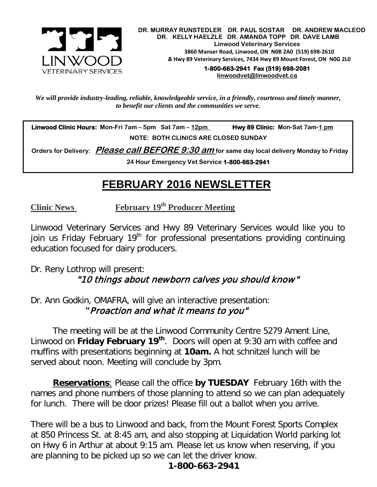

 **DR. MURRAY RUNSTEDLER DR. PAUL SOSTAR DR. ANDREW MACLEOD DR. KELLY HAELZLE DR. AMANDA TOPP DR. DAVE LAMB Linwood Veterinary Services 3860 Manser Road, Linwood, ON N0B 2A0 (519) 698-2610** *&* **Hwy 89 Veterinary Services, 7434 Hwy 89 Mount Forest, ON N0G 2L0**

> **1-800-663-2941 Fax (519) 698-2081 [linwoodvet@linwoodvet.ca](mailto:linwoodvet@linwoodvet.ca)**

*We will provide industry-leading, reliable, knowledgeable service, in a friendly, courteous and timely manner, to benefit our clients and the communities we serve.*

 **Linwood Clinic Hours: Mon-Fri 7am – 5pm Sat 7am – 12pm Hwy 89 Clinic: Mon-Sat 7am-1 pm NOTE: BOTH CLINICS ARE CLOSED SUNDAY**

 **Orders for Delivery: Please call BEFORE 9:30 am for same day local delivery Monday to Friday** 

**24 Hour Emergency Vet Service 1-800-663-2941** 

## *!* **FEBRUARY 2016 NEWSLETTER**

**Clinic News February 19th Producer Meeting**

Linwood Veterinary Services and Hwy 89 Veterinary Services would like you to join us Friday February 19<sup>th</sup> for professional presentations providing continuing education focused for dairy producers.

Dr. Reny Lothrop will present: "10 things about newborn calves you should know"

Dr. Ann Godkin, OMAFRA, will give an interactive presentation: **"**Proaction and what it means to you"

The meeting will be at the Linwood Community Centre 5279 Ament Line, Linwood on **Friday February 19th**. Doors will open at 9:30 am with coffee and muffins with presentations beginning at **10am.** A hot schnitzel lunch will be served about noon. Meeting will conclude by 3pm.

**Reservations**: Please call the office **by TUESDAY** February 16th with the names and phone numbers of those planning to attend so we can plan adequately for lunch. There will be door prizes! Please fill out a ballot when you arrive.

There will be a bus to Linwood and back, from the Mount Forest Sports Complex at 850 Princess St. at 8:45 am, and also stopping at Liquidation World parking lot on Hwy 6 in Arthur at about 9:15 am. Please let us know when reserving, if you are planning to be picked up so we can let the driver know.

## **1-800-663-2941**